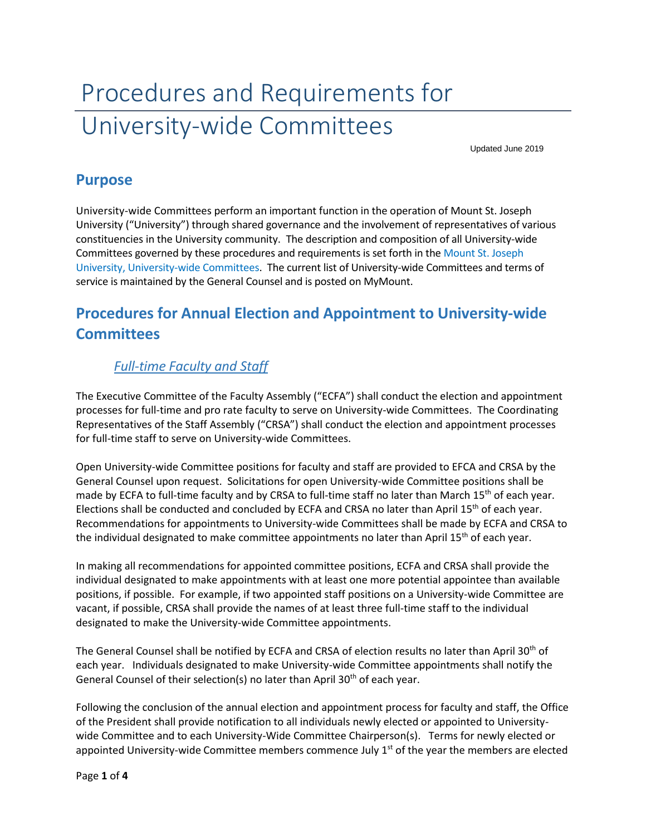# Procedures and Requirements for University-wide Committees

Updated June 2019

### **Purpose**

University-wide Committees perform an important function in the operation of Mount St. Joseph University ("University") through shared governance and the involvement of representatives of various constituencies in the University community. The description and composition of all University-wide Committees governed by these procedures and requirements is set forth in the Mount St. Joseph University, University-wide Committees. The current list of University-wide Committees and terms of service is maintained by the General Counsel and is posted on MyMount.

## **Procedures for Annual Election and Appointment to University-wide Committees**

#### *Full-time Faculty and Staff*

The Executive Committee of the Faculty Assembly ("ECFA") shall conduct the election and appointment processes for full-time and pro rate faculty to serve on University-wide Committees. The Coordinating Representatives of the Staff Assembly ("CRSA") shall conduct the election and appointment processes for full-time staff to serve on University-wide Committees.

Open University-wide Committee positions for faculty and staff are provided to EFCA and CRSA by the General Counsel upon request. Solicitations for open University-wide Committee positions shall be made by ECFA to full-time faculty and by CRSA to full-time staff no later than March 15<sup>th</sup> of each year. Elections shall be conducted and concluded by ECFA and CRSA no later than April 15<sup>th</sup> of each year. Recommendations for appointments to University-wide Committees shall be made by ECFA and CRSA to the individual designated to make committee appointments no later than April 15<sup>th</sup> of each year.

In making all recommendations for appointed committee positions, ECFA and CRSA shall provide the individual designated to make appointments with at least one more potential appointee than available positions, if possible. For example, if two appointed staff positions on a University-wide Committee are vacant, if possible, CRSA shall provide the names of at least three full-time staff to the individual designated to make the University-wide Committee appointments.

The General Counsel shall be notified by ECFA and CRSA of election results no later than April 30<sup>th</sup> of each year. Individuals designated to make University-wide Committee appointments shall notify the General Counsel of their selection(s) no later than April  $30<sup>th</sup>$  of each year.

Following the conclusion of the annual election and appointment process for faculty and staff, the Office of the President shall provide notification to all individuals newly elected or appointed to Universitywide Committee and to each University-Wide Committee Chairperson(s). Terms for newly elected or appointed University-wide Committee members commence July  $1<sup>st</sup>$  of the year the members are elected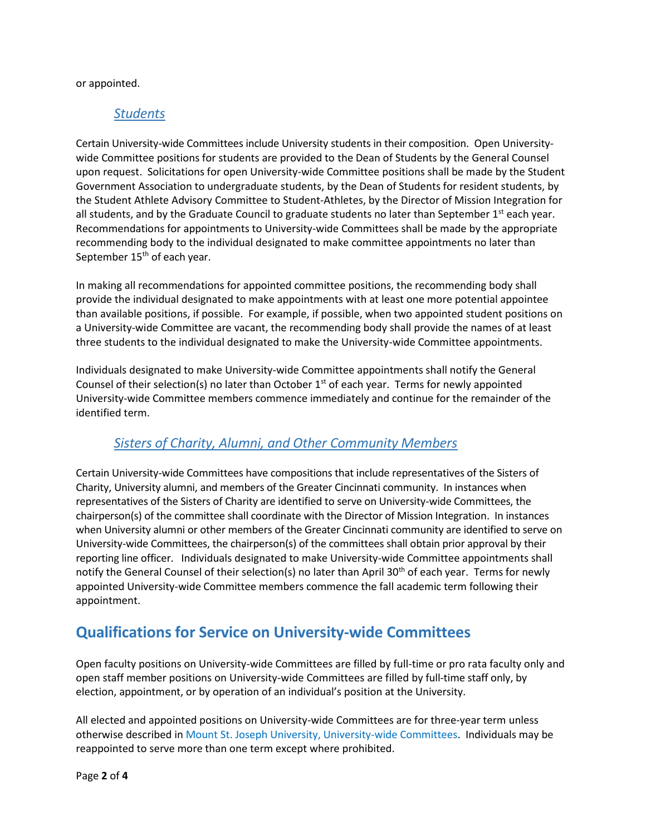or appointed.

#### *Students*

Certain University-wide Committees include University students in their composition. Open Universitywide Committee positions for students are provided to the Dean of Students by the General Counsel upon request. Solicitations for open University-wide Committee positions shall be made by the Student Government Association to undergraduate students, by the Dean of Students for resident students, by the Student Athlete Advisory Committee to Student-Athletes, by the Director of Mission Integration for all students, and by the Graduate Council to graduate students no later than September  $1<sup>st</sup>$  each year. Recommendations for appointments to University-wide Committees shall be made by the appropriate recommending body to the individual designated to make committee appointments no later than September 15<sup>th</sup> of each year.

In making all recommendations for appointed committee positions, the recommending body shall provide the individual designated to make appointments with at least one more potential appointee than available positions, if possible. For example, if possible, when two appointed student positions on a University-wide Committee are vacant, the recommending body shall provide the names of at least three students to the individual designated to make the University-wide Committee appointments.

Individuals designated to make University-wide Committee appointments shall notify the General Counsel of their selection(s) no later than October  $1<sup>st</sup>$  of each year. Terms for newly appointed University-wide Committee members commence immediately and continue for the remainder of the identified term.

#### *Sisters of Charity, Alumni, and Other Community Members*

Certain University-wide Committees have compositions that include representatives of the Sisters of Charity, University alumni, and members of the Greater Cincinnati community. In instances when representatives of the Sisters of Charity are identified to serve on University-wide Committees, the chairperson(s) of the committee shall coordinate with the Director of Mission Integration. In instances when University alumni or other members of the Greater Cincinnati community are identified to serve on University-wide Committees, the chairperson(s) of the committees shall obtain prior approval by their reporting line officer. Individuals designated to make University-wide Committee appointments shall notify the General Counsel of their selection(s) no later than April 30<sup>th</sup> of each year. Terms for newly appointed University-wide Committee members commence the fall academic term following their appointment.

## **Qualifications for Service on University-wide Committees**

Open faculty positions on University-wide Committees are filled by full-time or pro rata faculty only and open staff member positions on University-wide Committees are filled by full-time staff only, by election, appointment, or by operation of an individual's position at the University.

All elected and appointed positions on University-wide Committees are for three-year term unless otherwise described in Mount St. Joseph University, University-wide Committees. Individuals may be reappointed to serve more than one term except where prohibited.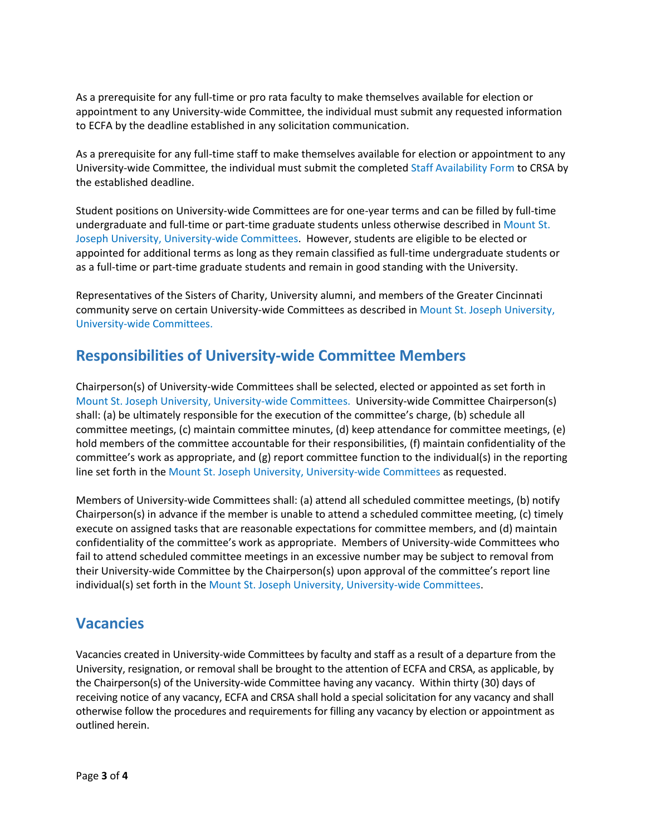As a prerequisite for any full-time or pro rata faculty to make themselves available for election or appointment to any University-wide Committee, the individual must submit any requested information to ECFA by the deadline established in any solicitation communication.

As a prerequisite for any full-time staff to make themselves available for election or appointment to any University-wide Committee, the individual must submit the completed Staff Availability Form to CRSA by the established deadline.

Student positions on University-wide Committees are for one-year terms and can be filled by full-time undergraduate and full-time or part-time graduate students unless otherwise described in Mount St. Joseph University, University-wide Committees. However, students are eligible to be elected or appointed for additional terms as long as they remain classified as full-time undergraduate students or as a full-time or part-time graduate students and remain in good standing with the University.

Representatives of the Sisters of Charity, University alumni, and members of the Greater Cincinnati community serve on certain University-wide Committees as described in Mount St. Joseph University, University-wide Committees.

## **Responsibilities of University-wide Committee Members**

Chairperson(s) of University-wide Committees shall be selected, elected or appointed as set forth in Mount St. Joseph University, University-wide Committees. University-wide Committee Chairperson(s) shall: (a) be ultimately responsible for the execution of the committee's charge, (b) schedule all committee meetings, (c) maintain committee minutes, (d) keep attendance for committee meetings, (e) hold members of the committee accountable for their responsibilities, (f) maintain confidentiality of the committee's work as appropriate, and (g) report committee function to the individual(s) in the reporting line set forth in the Mount St. Joseph University, University-wide Committees as requested.

Members of University-wide Committees shall: (a) attend all scheduled committee meetings, (b) notify Chairperson(s) in advance if the member is unable to attend a scheduled committee meeting, (c) timely execute on assigned tasks that are reasonable expectations for committee members, and (d) maintain confidentiality of the committee's work as appropriate. Members of University-wide Committees who fail to attend scheduled committee meetings in an excessive number may be subject to removal from their University-wide Committee by the Chairperson(s) upon approval of the committee's report line individual(s) set forth in the Mount St. Joseph University, University-wide Committees.

## **Vacancies**

Vacancies created in University-wide Committees by faculty and staff as a result of a departure from the University, resignation, or removal shall be brought to the attention of ECFA and CRSA, as applicable, by the Chairperson(s) of the University-wide Committee having any vacancy. Within thirty (30) days of receiving notice of any vacancy, ECFA and CRSA shall hold a special solicitation for any vacancy and shall otherwise follow the procedures and requirements for filling any vacancy by election or appointment as outlined herein.